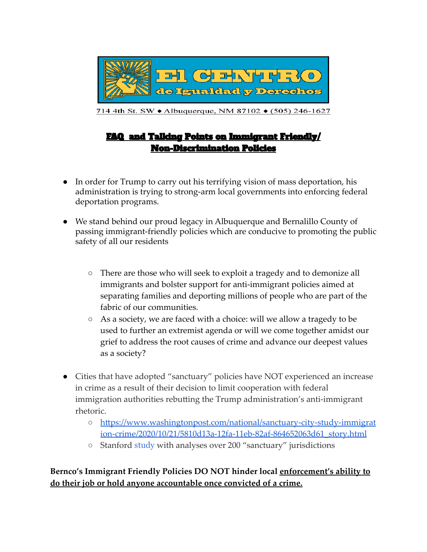

714 4th St. SW • Albuquerque, NM 87102 • (505) 246-1627

# FAQ and Talking Points on Immigrant Friendly/ Non-Discrimination Policies

- In order for Trump to carry out his terrifying vision of mass deportation, his administration is trying to strong-arm local governments into enforcing federal deportation programs.
- We stand behind our proud legacy in Albuquerque and Bernalillo County of passing immigrant-friendly policies which are conducive to promoting the public safety of all our residents
	- There are those who will seek to exploit a tragedy and to demonize all immigrants and bolster support for anti-immigrant policies aimed at separating families and deporting millions of people who are part of the fabric of our communities.
	- As a society, we are faced with a choice: will we allow a tragedy to be used to further an extremist agenda or will we come together amidst our grief to address the root causes of crime and advance our deepest values as a society?
- Cities that have adopted "sanctuary" policies have NOT experienced an increase in crime as a result of their decision to limit cooperation with federal immigration authorities rebutting the Trump administration's anti-immigrant rhetoric.
	- [https://www.washingtonpost.com/national/sanctuary-city-study-immigrat](https://www.washingtonpost.com/national/sanctuary-city-study-immigration-crime/2020/10/21/5810d13a-12fa-11eb-82af-864652063d61_story.html) [ion-crime/2020/10/21/5810d13a-12fa-11eb-82af-864652063d61\\_story.html](https://www.washingtonpost.com/national/sanctuary-city-study-immigration-crime/2020/10/21/5810d13a-12fa-11eb-82af-864652063d61_story.html)
	- Stanford [study](https://www.pnas.org/content/early/2020/10/13/2014673117) with analyses over 200 "sanctuary" jurisdictions

## **Bernco's Immigrant Friendly Policies DO NOT hinder local enforcement's ability to do their job or hold anyone accountable once convicted of a crime.**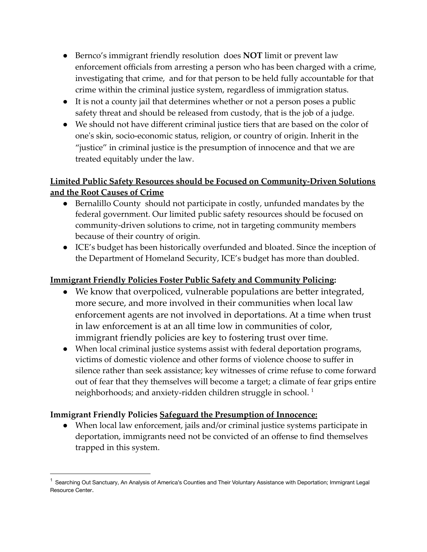- Bernco's immigrant friendly resolution does **NOT** limit or prevent law enforcement officials from arresting a person who has been charged with a crime, investigating that crime, and for that person to be held fully accountable for that crime within the criminal justice system, regardless of immigration status.
- It is not a county jail that determines whether or not a person poses a public safety threat and should be released from custody, that is the job of a judge.
- We should not have different criminal justice tiers that are based on the color of one's skin, socio-economic status, religion, or country of origin. Inherit in the "justice" in criminal justice is the presumption of innocence and that we are treated equitably under the law.

# **Limited Public Safety Resources should be Focused on Community-Driven Solutions and the Root Causes of Crime**

- Bernalillo County should not participate in costly, unfunded mandates by the federal government. Our limited public safety resources should be focused on community-driven solutions to crime, not in targeting community members because of their country of origin.
- ICE's budget has been historically overfunded and bloated. Since the inception of the Department of Homeland Security, ICE's budget has more than doubled.

### **Immigrant Friendly Policies Foster Public Safety and Community Policing:**

- We know that overpoliced, vulnerable populations are better integrated, more secure, and more involved in their communities when local law enforcement agents are not involved in deportations. At a time when trust in law enforcement is at an all time low in communities of color, immigrant friendly policies are key to fostering trust over time.
- When local criminal justice systems assist with federal deportation programs, victims of domestic violence and other forms of violence choose to suffer in silence rather than seek assistance; key witnesses of crime refuse to come forward out of fear that they themselves will become a target; a climate of fear grips entire neighborhoods; and anxiety-ridden children struggle in school.<sup>1</sup>

#### **Immigrant Friendly Policies Safeguard the Presumption of Innocence:**

● When local law enforcement, jails and/or criminal justice systems participate in deportation, immigrants need not be convicted of an offense to find themselves trapped in this system.

<sup>&</sup>lt;sup>1</sup> Searching Out Sanctuary, An Analysis of America's Counties and Their Voluntary Assistance with Deportation; Immigrant Legal Resource Center.